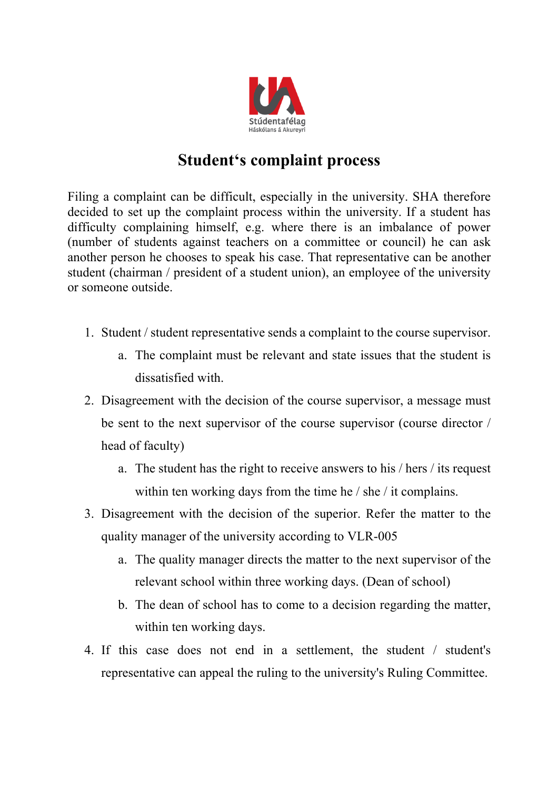

## **Student's complaint process**

Filing a complaint can be difficult, especially in the university. SHA therefore decided to set up the complaint process within the university. If a student has difficulty complaining himself, e.g. where there is an imbalance of power (number of students against teachers on a committee or council) he can ask another person he chooses to speak his case. That representative can be another student (chairman / president of a student union), an employee of the university or someone outside.

- 1. Student / student representative sends a complaint to the course supervisor.
	- a. The complaint must be relevant and state issues that the student is dissatisfied with.
- 2. Disagreement with the decision of the course supervisor, a message must be sent to the next supervisor of the course supervisor (course director / head of faculty)
	- a. The student has the right to receive answers to his / hers / its request within ten working days from the time he / she / it complains.
- 3. Disagreement with the decision of the superior. Refer the matter to the quality manager of the university according to VLR-005
	- a. The quality manager directs the matter to the next supervisor of the relevant school within three working days. (Dean of school)
	- b. The dean of school has to come to a decision regarding the matter, within ten working days.
- 4. If this case does not end in a settlement, the student / student's representative can appeal the ruling to the university's Ruling Committee.